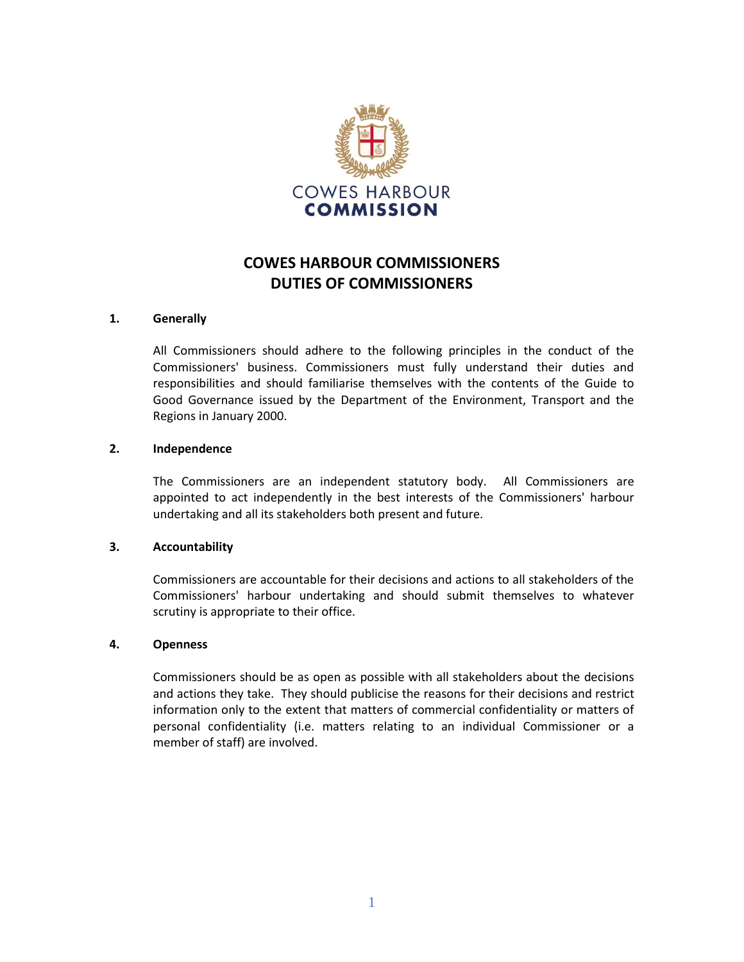

# **COWES HARBOUR COMMISSIONERS DUTIES OF COMMISSIONERS**

## **1. Generally**

All Commissioners should adhere to the following principles in the conduct of the Commissioners' business. Commissioners must fully understand their duties and responsibilities and should familiarise themselves with the contents of the Guide to Good Governance issued by the Department of the Environment, Transport and the Regions in January 2000.

## **2. Independence**

The Commissioners are an independent statutory body. All Commissioners are appointed to act independently in the best interests of the Commissioners' harbour undertaking and all its stakeholders both present and future.

## **3. Accountability**

Commissioners are accountable for their decisions and actions to all stakeholders of the Commissioners' harbour undertaking and should submit themselves to whatever scrutiny is appropriate to their office.

## **4. Openness**

Commissioners should be as open as possible with all stakeholders about the decisions and actions they take. They should publicise the reasons for their decisions and restrict information only to the extent that matters of commercial confidentiality or matters of personal confidentiality (i.e. matters relating to an individual Commissioner or a member of staff) are involved.